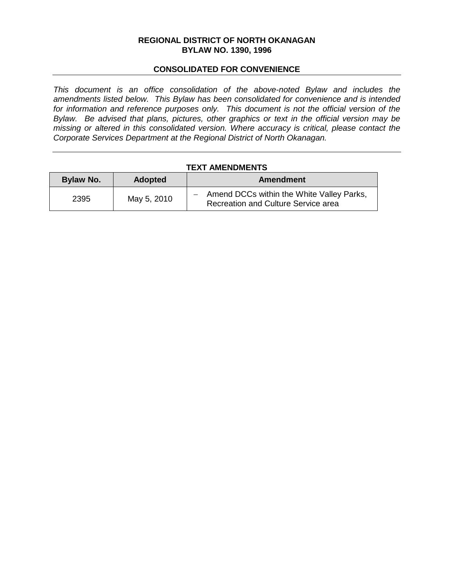#### **REGIONAL DISTRICT OF NORTH OKANAGAN BYLAW NO. 1390, 1996**

#### **CONSOLIDATED FOR CONVENIENCE**

*This document is an office consolidation of the above-noted Bylaw and includes the amendments listed below. This Bylaw has been consolidated for convenience and is intended for information and reference purposes only. This document is not the official version of the Bylaw. Be advised that plans, pictures, other graphics or text in the official version may be missing or altered in this consolidated version. Where accuracy is critical, please contact the Corporate Services Department at the Regional District of North Okanagan.* 

#### **TEXT AMENDMENTS**

| Bylaw No. | <b>Adopted</b> | Amendment                                                                          |  |  |
|-----------|----------------|------------------------------------------------------------------------------------|--|--|
| 2395      | May 5, 2010    | - Amend DCCs within the White Valley Parks,<br>Recreation and Culture Service area |  |  |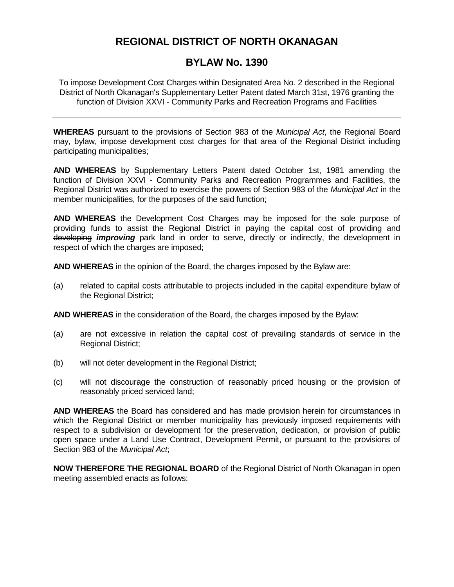# **REGIONAL DISTRICT OF NORTH OKANAGAN**

## **BYLAW No. 1390**

To impose Development Cost Charges within Designated Area No. 2 described in the Regional District of North Okanagan's Supplementary Letter Patent dated March 31st, 1976 granting the function of Division XXVI - Community Parks and Recreation Programs and Facilities

**WHEREAS** pursuant to the provisions of Section 983 of the *Municipal Act*, the Regional Board may, bylaw, impose development cost charges for that area of the Regional District including participating municipalities;

**AND WHEREAS** by Supplementary Letters Patent dated October 1st, 1981 amending the function of Division XXVI - Community Parks and Recreation Programmes and Facilities, the Regional District was authorized to exercise the powers of Section 983 of the *Municipal Act* in the member municipalities, for the purposes of the said function;

**AND WHEREAS** the Development Cost Charges may be imposed for the sole purpose of providing funds to assist the Regional District in paying the capital cost of providing and developing *improving* park land in order to serve, directly or indirectly, the development in respect of which the charges are imposed;

**AND WHEREAS** in the opinion of the Board, the charges imposed by the Bylaw are:

(a) related to capital costs attributable to projects included in the capital expenditure bylaw of the Regional District;

**AND WHEREAS** in the consideration of the Board, the charges imposed by the Bylaw:

- (a) are not excessive in relation the capital cost of prevailing standards of service in the Regional District;
- (b) will not deter development in the Regional District;
- (c) will not discourage the construction of reasonably priced housing or the provision of reasonably priced serviced land;

**AND WHEREAS** the Board has considered and has made provision herein for circumstances in which the Regional District or member municipality has previously imposed requirements with respect to a subdivision or development for the preservation, dedication, or provision of public open space under a Land Use Contract, Development Permit, or pursuant to the provisions of Section 983 of the *Municipal Act*;

**NOW THEREFORE THE REGIONAL BOARD** of the Regional District of North Okanagan in open meeting assembled enacts as follows: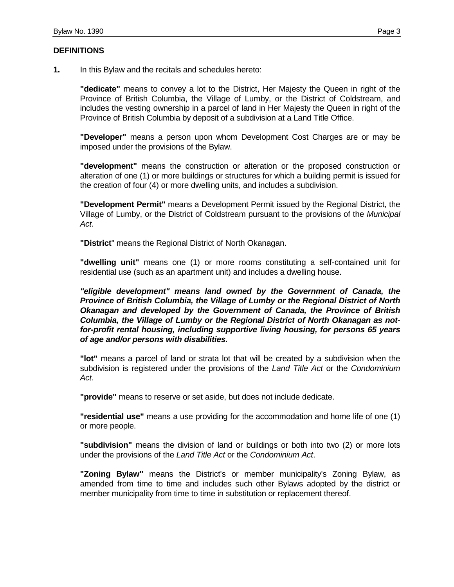#### **DEFINITIONS**

**"dedicate"** means to convey a lot to the District, Her Majesty the Queen in right of the Province of British Columbia, the Village of Lumby, or the District of Coldstream, and includes the vesting ownership in a parcel of land in Her Majesty the Queen in right of the Province of British Columbia by deposit of a subdivision at a Land Title Office.

**"Developer"** means a person upon whom Development Cost Charges are or may be imposed under the provisions of the Bylaw.

**"development"** means the construction or alteration or the proposed construction or alteration of one (1) or more buildings or structures for which a building permit is issued for the creation of four (4) or more dwelling units, and includes a subdivision.

**"Development Permit"** means a Development Permit issued by the Regional District, the Village of Lumby, or the District of Coldstream pursuant to the provisions of the *Municipal Act*.

**"District**" means the Regional District of North Okanagan.

**"dwelling unit"** means one (1) or more rooms constituting a self-contained unit for residential use (such as an apartment unit) and includes a dwelling house.

*"eligible development" means land owned by the Government of Canada, the Province of British Columbia, the Village of Lumby or the Regional District of North Okanagan and developed by the Government of Canada, the Province of British Columbia, the Village of Lumby or the Regional District of North Okanagan as notfor-profit rental housing, including supportive living housing, for persons 65 years of age and/or persons with disabilities.*

**"lot"** means a parcel of land or strata lot that will be created by a subdivision when the subdivision is registered under the provisions of the *Land Title Act* or the *Condominium Act*.

**"provide"** means to reserve or set aside, but does not include dedicate.

**"residential use"** means a use providing for the accommodation and home life of one (1) or more people.

**"subdivision"** means the division of land or buildings or both into two (2) or more lots under the provisions of the *Land Title Act* or the *Condominium Act*.

**"Zoning Bylaw"** means the District's or member municipality's Zoning Bylaw, as amended from time to time and includes such other Bylaws adopted by the district or member municipality from time to time in substitution or replacement thereof.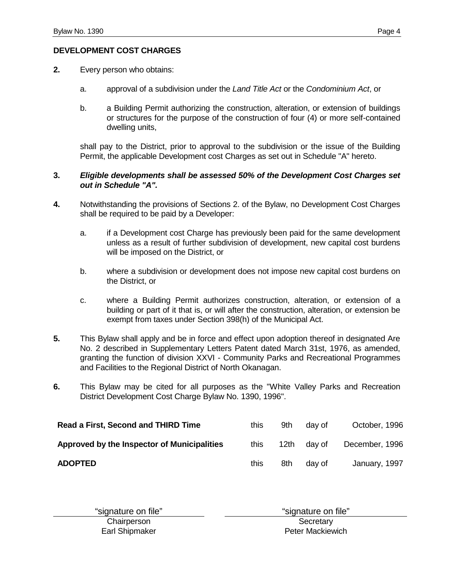#### **DEVELOPMENT COST CHARGES**

- **2.** Every person who obtains:
	- a. approval of a subdivision under the *Land Title Act* or the *Condominium Act*, or
	- b. a Building Permit authorizing the construction, alteration, or extension of buildings or structures for the purpose of the construction of four (4) or more self-contained dwelling units,

shall pay to the District, prior to approval to the subdivision or the issue of the Building Permit, the applicable Development cost Charges as set out in Schedule "A" hereto.

#### **3.** *Eligible developments shall be assessed 50% of the Development Cost Charges set out in Schedule "A".*

- **4.** Notwithstanding the provisions of Sections 2. of the Bylaw, no Development Cost Charges shall be required to be paid by a Developer:
	- a. if a Development cost Charge has previously been paid for the same development unless as a result of further subdivision of development, new capital cost burdens will be imposed on the District, or
	- b. where a subdivision or development does not impose new capital cost burdens on the District, or
	- c. where a Building Permit authorizes construction, alteration, or extension of a building or part of it that is, or will after the construction, alteration, or extension be exempt from taxes under Section 398(h) of the Municipal Act.
- **5.** This Bylaw shall apply and be in force and effect upon adoption thereof in designated Are No. 2 described in Supplementary Letters Patent dated March 31st, 1976, as amended, granting the function of division XXVI - Community Parks and Recreational Programmes and Facilities to the Regional District of North Okanagan.
- **6.** This Bylaw may be cited for all purposes as the "White Valley Parks and Recreation District Development Cost Charge Bylaw No. 1390, 1996".

| Read a First, Second and THIRD Time         | this | 9th  | dav of | October, 1996  |
|---------------------------------------------|------|------|--------|----------------|
| Approved by the Inspector of Municipalities | this | 12th | dav of | December, 1996 |
| <b>ADOPTED</b>                              | this | 8th  | dav of | January, 1997  |

"signature on file" "signature on file"

Earl Shipmaker

Chairperson<br>
arl Shipmaker Shipmaker<br>
Shipmaker Shipmaker Shipmaker<br>
Shipmaker Shipmaker<br>
Shipmaker<br>
Shipmaker<br>
Shipmaker<br>
Shipmaker<br>
Shipmaker<br>
Shipmaker